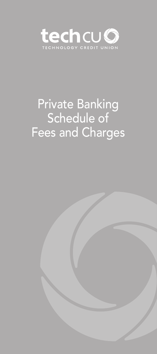

# Private Banking Schedule of Fees and Charges